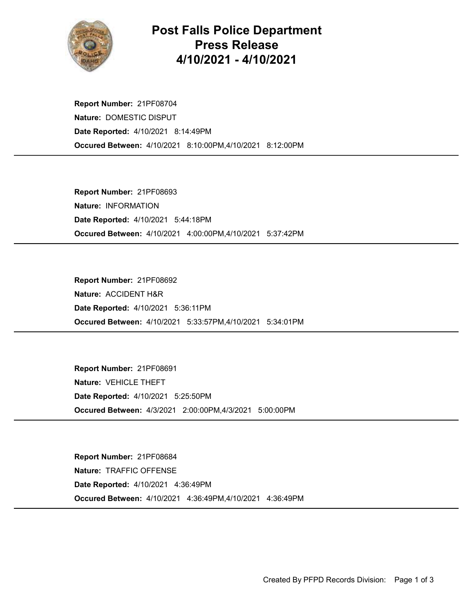

## Post Falls Police Department Press Release 4/10/2021 - 4/10/2021

Occured Between: 4/10/2021 8:10:00PM,4/10/2021 8:12:00PM Report Number: 21PF08704 Nature: DOMESTIC DISPUT Date Reported: 4/10/2021 8:14:49PM

Occured Between: 4/10/2021 4:00:00PM,4/10/2021 5:37:42PM Report Number: 21PF08693 Nature: INFORMATION Date Reported: 4/10/2021 5:44:18PM

Occured Between: 4/10/2021 5:33:57PM,4/10/2021 5:34:01PM Report Number: 21PF08692 Nature: ACCIDENT H&R Date Reported: 4/10/2021 5:36:11PM

Occured Between: 4/3/2021 2:00:00PM,4/3/2021 5:00:00PM Report Number: 21PF08691 Nature: VEHICLE THEFT Date Reported: 4/10/2021 5:25:50PM

Occured Between: 4/10/2021 4:36:49PM,4/10/2021 4:36:49PM Report Number: 21PF08684 Nature: TRAFFIC OFFENSE Date Reported: 4/10/2021 4:36:49PM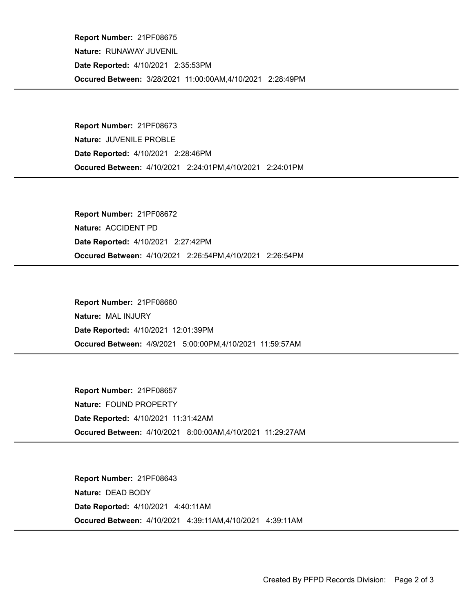Occured Between: 3/28/2021 11:00:00AM,4/10/2021 2:28:49PM Report Number: 21PF08675 Nature: RUNAWAY JUVENIL Date Reported: 4/10/2021 2:35:53PM

Occured Between: 4/10/2021 2:24:01PM,4/10/2021 2:24:01PM Report Number: 21PF08673 Nature: JUVENILE PROBLE Date Reported: 4/10/2021 2:28:46PM

Occured Between: 4/10/2021 2:26:54PM,4/10/2021 2:26:54PM Report Number: 21PF08672 Nature: ACCIDENT PD Date Reported: 4/10/2021 2:27:42PM

Occured Between: 4/9/2021 5:00:00PM,4/10/2021 11:59:57AM Report Number: 21PF08660 Nature: MAL INJURY Date Reported: 4/10/2021 12:01:39PM

Occured Between: 4/10/2021 8:00:00AM,4/10/2021 11:29:27AM Report Number: 21PF08657 Nature: FOUND PROPERTY Date Reported: 4/10/2021 11:31:42AM

Occured Between: 4/10/2021 4:39:11AM,4/10/2021 4:39:11AM Report Number: 21PF08643 Nature: DEAD BODY Date Reported: 4/10/2021 4:40:11AM